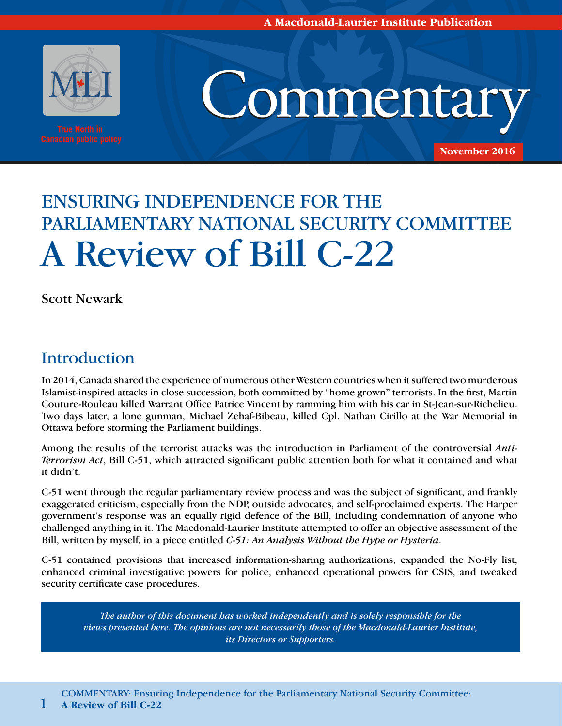

**A Macdonald-Laurier Institute Publication** 

# ENSURING INDEPENDENCE FOR THE PARLIAMENTARY NATIONAL SECURITY COMMITTEE A Review of Bill C-22

Scott Newark

# Introduction

In 2014, Canada shared the experience of numerous other Western countries when it suffered two murderous Islamist-inspired attacks in close succession, both committed by "home grown" terrorists. In the first, Martin Couture-Rouleau killed Warrant Office Patrice Vincent by ramming him with his car in St-Jean-sur-Richelieu. Two days later, a lone gunman, Michael Zehaf-Bibeau, killed Cpl. Nathan Cirillo at the War Memorial in Ottawa before storming the Parliament buildings.

Among the results of the terrorist attacks was the introduction in Parliament of the controversial *Anti-Terrorism Act*, Bill C-51, which attracted significant public attention both for what it contained and what it didn't.

C-51 went through the regular parliamentary review process and was the subject of significant, and frankly exaggerated criticism, especially from the NDP, outside advocates, and self-proclaimed experts. The Harper government's response was an equally rigid defence of the Bill, including condemnation of anyone who challenged anything in it. The Macdonald-Laurier Institute attempted to offer an objective assessment of the Bill, written by myself, in a piece entitled *C-51: An Analysis Without the Hype or Hysteria*.

C-51 contained provisions that increased information-sharing authorizations, expanded the No-Fly list, enhanced criminal investigative powers for police, enhanced operational powers for CSIS, and tweaked security certificate case procedures.

*The author of this document has worked independently and is solely responsible for the views presented here. The opinions are not necessarily those of the Macdonald-Laurier Institute, its Directors or Supporters.*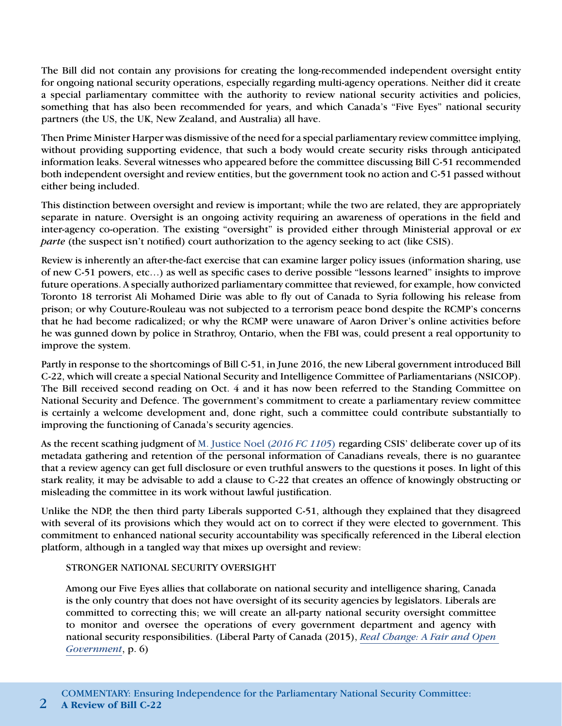The Bill did not contain any provisions for creating the long-recommended independent oversight entity for ongoing national security operations, especially regarding multi-agency operations. Neither did it create a special parliamentary committee with the authority to review national security activities and policies, something that has also been recommended for years, and which Canada's "Five Eyes" national security partners (the US, the UK, New Zealand, and Australia) all have.

Then Prime Minister Harper was dismissive of the need for a special parliamentary review committee implying, without providing supporting evidence, that such a body would create security risks through anticipated information leaks. Several witnesses who appeared before the committee discussing Bill C-51 recommended both independent oversight and review entities, but the government took no action and C-51 passed without either being included.

This distinction between oversight and review is important; while the two are related, they are appropriately separate in nature. Oversight is an ongoing activity requiring an awareness of operations in the field and inter-agency co-operation. The existing "oversight" is provided either through Ministerial approval or *ex parte* (the suspect isn't notified) court authorization to the agency seeking to act (like CSIS).

Review is inherently an after-the-fact exercise that can examine larger policy issues (information sharing, use of new C-51 powers, etc…) as well as specific cases to derive possible "lessons learned" insights to improve future operations. A specially authorized parliamentary committee that reviewed, for example, how convicted Toronto 18 terrorist Ali Mohamed Dirie was able to fly out of Canada to Syria following his release from prison; or why Couture-Rouleau was not subjected to a terrorism peace bond despite the RCMP's concerns that he had become radicalized; or why the RCMP were unaware of Aaron Driver's online activities before he was gunned down by police in Strathroy, Ontario, when the FBI was, could present a real opportunity to improve the system.

Partly in response to the shortcomings of Bill C-51, in June 2016, the new Liberal government introduced Bill C-22, which will create a special National Security and Intelligence Committee of Parliamentarians (NSICOP). The Bill received second reading on Oct. 4 and it has now been referred to the Standing Committee on National Security and Defence. The government's commitment to create a parliamentary review committee is certainly a welcome development and, done right, such a committee could contribute substantially to improving the functioning of Canada's security agencies.

As the recent scathing judgment of [M. Justice Noel \(](http://cas-cdc-www02.cas-satj.gc.ca/rss/DES%20(warrant)%20nov-3-2016%20public%20judgment%20FINAL%20(ENG).pdf)*2016 FC 1105*) regarding CSIS' deliberate cover up of its metadata gathering and retention of the personal information of Canadians reveals, there is no guarantee that a review agency can get full disclosure or even truthful answers to the questions it poses. In light of this stark reality, it may be advisable to add a clause to C-22 that creates an offence of knowingly obstructing or misleading the committee in its work without lawful justification.

Unlike the NDP, the then third party Liberals supported C-51, although they explained that they disagreed with several of its provisions which they would act on to correct if they were elected to government. This commitment to enhanced national security accountability was specifically referenced in the Liberal election platform, although in a tangled way that mixes up oversight and review:

### STRONGER NATIONAL SECURITY OVERSIGHT

Among our Five Eyes allies that collaborate on national security and intelligence sharing, Canada is the only country that does not have oversight of its security agencies by legislators. Liberals are committed to correcting this; we will create an all-party national security oversight committee to monitor and oversee the operations of every government department and agency with national security responsibilities. (Liberal Party of Canada (2015), *[Real Change: A Fair and Open](https://www.liberal.ca/files/2015/08/a-fair-and-open-government.pdf/)  [Government](https://www.liberal.ca/files/2015/08/a-fair-and-open-government.pdf/)*, p. 6)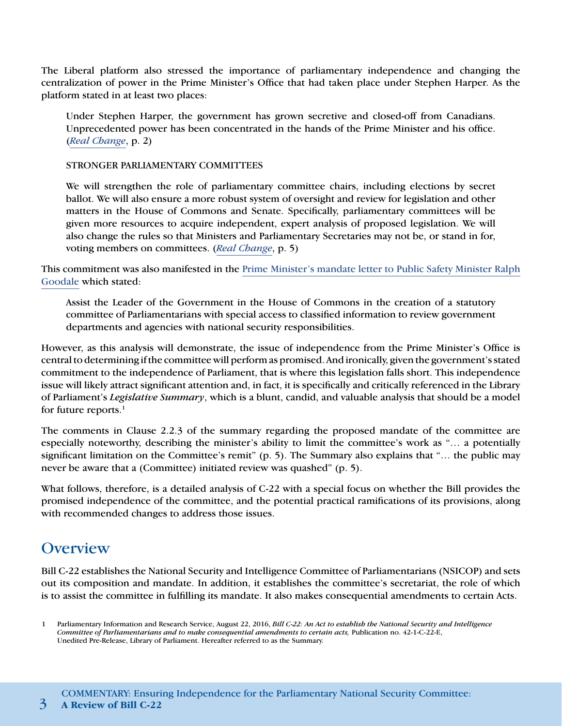The Liberal platform also stressed the importance of parliamentary independence and changing the centralization of power in the Prime Minister's Office that had taken place under Stephen Harper. As the platform stated in at least two places:

Under Stephen Harper, the government has grown secretive and closed-off from Canadians. Unprecedented power has been concentrated in the hands of the Prime Minister and his office. (*[Real Change](https://www.liberal.ca/files/2015/08/a-fair-and-open-government.pdf/)*, p. 2)

#### STRONGER PARLIAMENTARY COMMITTEES

We will strengthen the role of parliamentary committee chairs, including elections by secret ballot. We will also ensure a more robust system of oversight and review for legislation and other matters in the House of Commons and Senate. Specifically, parliamentary committees will be given more resources to acquire independent, expert analysis of proposed legislation. We will also change the rules so that Ministers and Parliamentary Secretaries may not be, or stand in for, voting members on committees. (*[Real Change](https://www.liberal.ca/files/2015/08/a-fair-and-open-government.pdf/)*, p. 5)

This commitment was also manifested in the [Prime Minister's mandate letter to Public Safety Minister Ralph](http://pm.gc.ca/eng/minister-public-safety-and-emergency-preparedness-mandate-letter) [Goodale](http://pm.gc.ca/eng/minister-public-safety-and-emergency-preparedness-mandate-letter) which stated:

Assist the Leader of the Government in the House of Commons in the creation of a statutory committee of Parliamentarians with special access to classified information to review government departments and agencies with national security responsibilities.

However, as this analysis will demonstrate, the issue of independence from the Prime Minister's Office is central to determining if the committee will perform as promised. And ironically, given the government's stated commitment to the independence of Parliament, that is where this legislation falls short. This independence issue will likely attract significant attention and, in fact, it is specifically and critically referenced in the Library of Parliament's *Legislative Summary*, which is a blunt, candid, and valuable analysis that should be a model for future reports. $<sup>1</sup>$ </sup>

The comments in Clause 2.2.3 of the summary regarding the proposed mandate of the committee are especially noteworthy, describing the minister's ability to limit the committee's work as "… a potentially significant limitation on the Committee's remit" (p. 5). The Summary also explains that "... the public may never be aware that a (Committee) initiated review was quashed" (p. 5).

What follows, therefore, is a detailed analysis of C-22 with a special focus on whether the Bill provides the promised independence of the committee, and the potential practical ramifications of its provisions, along with recommended changes to address those issues.

### **Overview**

Bill C-22 establishes the National Security and Intelligence Committee of Parliamentarians (NSICOP) and sets out its composition and mandate. In addition, it establishes the committee's secretariat, the role of which is to assist the committee in fulfilling its mandate. It also makes consequential amendments to certain Acts.

<sup>1</sup> Parliamentary Information and Research Service, August 22, 2016, *Bill C-22: An Act to establish the National Security and Intelligence Committee of Parliamentarians and to make consequential amendments to certain acts,* Publication no. 42-1-C-22-E, Unedited Pre-Release, Library of Parliament. Hereafter referred to as the Summary.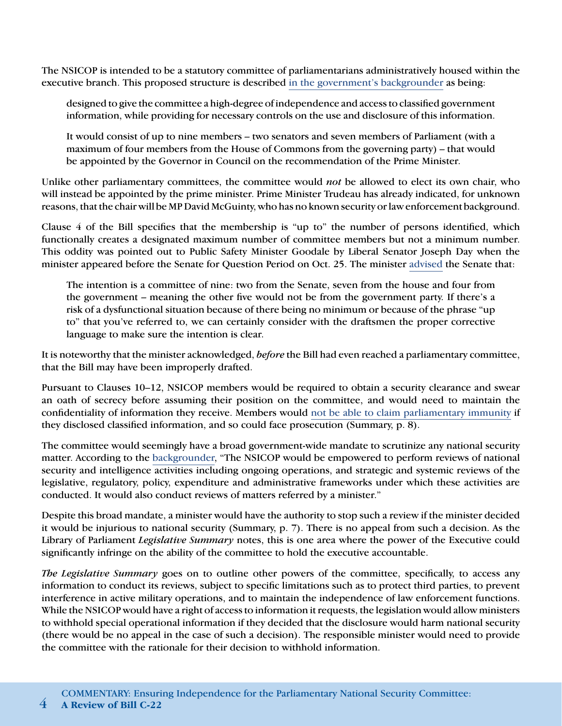The NSICOP is intended to be a statutory committee of parliamentarians administratively housed within the executive branch. This proposed structure is described [in the government's backgrounder](http://news.gc.ca/web/article-en.do?nid=1085649) as being:

designed to give the committee a high-degree of independence and access to classified government information, while providing for necessary controls on the use and disclosure of this information.

It would consist of up to nine members – two senators and seven members of Parliament (with a maximum of four members from the House of Commons from the governing party) – that would be appointed by the Governor in Council on the recommendation of the Prime Minister.

Unlike other parliamentary committees, the committee would *not* be allowed to elect its own chair, who will instead be appointed by the prime minister. Prime Minister Trudeau has already indicated, for unknown reasons, that the chair will be MP David McGuinty, who has no known security or law enforcement background.

Clause 4 of the Bill specifies that the membership is "up to" the number of persons identified, which functionally creates a designated maximum number of committee members but not a minimum number. This oddity was pointed out to Public Safety Minister Goodale by Liberal Senator Joseph Day when the minister appeared before the Senate for Question Period on Oct. 25. The minister [advised](http://liberalsenateforum.ca/hansard/proposed-national-security-intelligence-committee-parliamentarians/) the Senate that:

The intention is a committee of nine: two from the Senate, seven from the house and four from the government – meaning the other five would not be from the government party. If there's a risk of a dysfunctional situation because of there being no minimum or because of the phrase "up to" that you've referred to, we can certainly consider with the draftsmen the proper corrective language to make sure the intention is clear.

It is noteworthy that the minister acknowledged, *before* the Bill had even reached a parliamentary committee, that the Bill may have been improperly drafted.

Pursuant to Clauses 10–12, NSICOP members would be required to obtain a security clearance and swear an oath of secrecy before assuming their position on the committee, and would need to maintain the confidentiality of information they receive. Members would [not be able to claim parliamentary immunity](http://news.gc.ca/web/article-en.do?nid=1085649) if they disclosed classified information, and so could face prosecution (Summary, p. 8).

The committee would seemingly have a broad government-wide mandate to scrutinize any national security matter. According to the [backgrounder,](http://news.gc.ca/web/article-en.do?nid=1085649) "The NSICOP would be empowered to perform reviews of national security and intelligence activities including ongoing operations, and strategic and systemic reviews of the legislative, regulatory, policy, expenditure and administrative frameworks under which these activities are conducted. It would also conduct reviews of matters referred by a minister."

Despite this broad mandate, a minister would have the authority to stop such a review if the minister decided it would be injurious to national security (Summary, p. 7). There is no appeal from such a decision. As the Library of Parliament *Legislative Summary* notes, this is one area where the power of the Executive could significantly infringe on the ability of the committee to hold the executive accountable.

*The Legislative Summary* goes on to outline other powers of the committee, specifically, to access any information to conduct its reviews, subject to specific limitations such as to protect third parties, to prevent interference in active military operations, and to maintain the independence of law enforcement functions. While the NSICOP would have a right of access to information it requests, the legislation would allow ministers to withhold special operational information if they decided that the disclosure would harm national security (there would be no appeal in the case of such a decision). The responsible minister would need to provide the committee with the rationale for their decision to withhold information.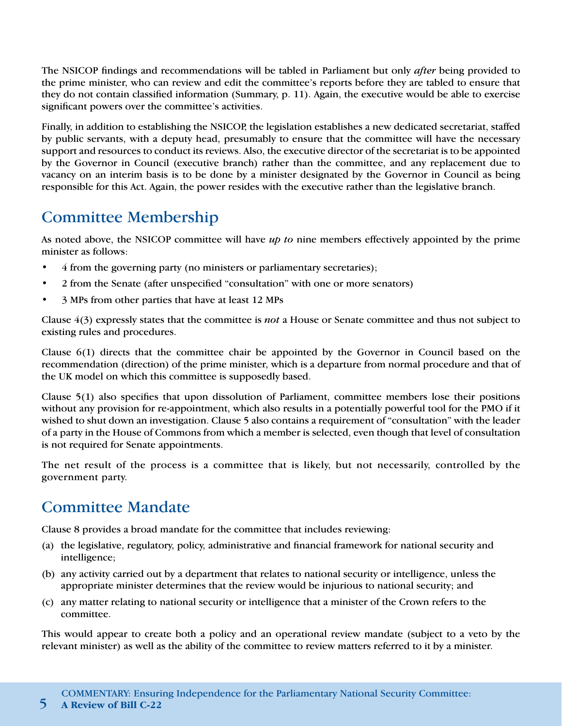The NSICOP findings and recommendations will be tabled in Parliament but only *after* being provided to the prime minister, who can review and edit the committee's reports before they are tabled to ensure that they do not contain classified information (Summary, p. 11). Again, the executive would be able to exercise significant powers over the committee's activities.

Finally, in addition to establishing the NSICOP, the legislation establishes a new dedicated secretariat, staffed by public servants, with a deputy head, presumably to ensure that the committee will have the necessary support and resources to conduct its reviews. Also, the executive director of the secretariat is to be appointed by the Governor in Council (executive branch) rather than the committee, and any replacement due to vacancy on an interim basis is to be done by a minister designated by the Governor in Council as being responsible for this Act. Again, the power resides with the executive rather than the legislative branch.

# Committee Membership

As noted above, the NSICOP committee will have *up to* nine members effectively appointed by the prime minister as follows:

- 4 from the governing party (no ministers or parliamentary secretaries);
- 2 from the Senate (after unspecified "consultation" with one or more senators)
- 3 MPs from other parties that have at least 12 MPs

Clause 4(3) expressly states that the committee is *not* a House or Senate committee and thus not subject to existing rules and procedures.

Clause 6(1) directs that the committee chair be appointed by the Governor in Council based on the recommendation (direction) of the prime minister, which is a departure from normal procedure and that of the UK model on which this committee is supposedly based.

Clause 5(1) also specifies that upon dissolution of Parliament, committee members lose their positions without any provision for re-appointment, which also results in a potentially powerful tool for the PMO if it wished to shut down an investigation. Clause 5 also contains a requirement of "consultation" with the leader of a party in the House of Commons from which a member is selected, even though that level of consultation is not required for Senate appointments.

The net result of the process is a committee that is likely, but not necessarily, controlled by the government party.

# Committee Mandate

Clause 8 provides a broad mandate for the committee that includes reviewing:

- (a) the legislative, regulatory, policy, administrative and financial framework for national security and intelligence;
- (b) any activity carried out by a department that relates to national security or intelligence, unless the appropriate minister determines that the review would be injurious to national security; and
- (c) any matter relating to national security or intelligence that a minister of the Crown refers to the committee.

This would appear to create both a policy and an operational review mandate (subject to a veto by the relevant minister) as well as the ability of the committee to review matters referred to it by a minister.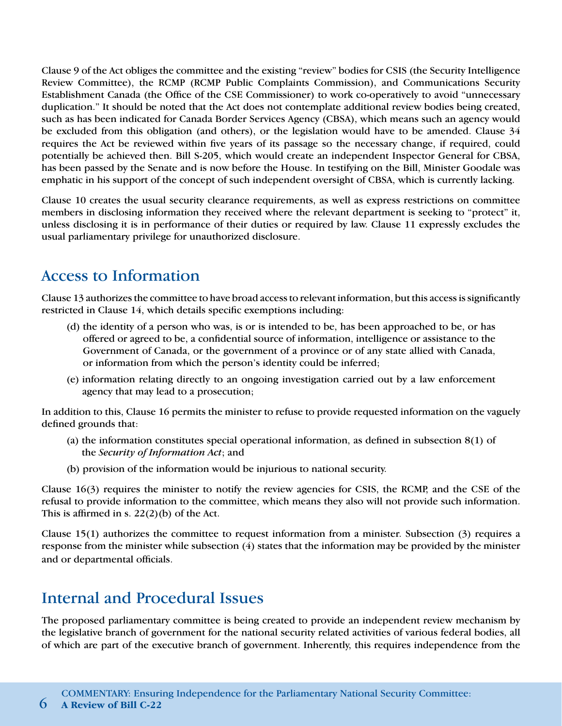Clause 9 of the Act obliges the committee and the existing "review" bodies for CSIS (the Security Intelligence Review Committee), the RCMP (RCMP Public Complaints Commission), and Communications Security Establishment Canada (the Office of the CSE Commissioner) to work co-operatively to avoid "unnecessary duplication." It should be noted that the Act does not contemplate additional review bodies being created, such as has been indicated for Canada Border Services Agency (CBSA), which means such an agency would be excluded from this obligation (and others), or the legislation would have to be amended. Clause 34 requires the Act be reviewed within five years of its passage so the necessary change, if required, could potentially be achieved then. Bill S-205, which would create an independent Inspector General for CBSA, has been passed by the Senate and is now before the House. In testifying on the Bill, Minister Goodale was emphatic in his support of the concept of such independent oversight of CBSA, which is currently lacking.

Clause 10 creates the usual security clearance requirements, as well as express restrictions on committee members in disclosing information they received where the relevant department is seeking to "protect" it, unless disclosing it is in performance of their duties or required by law. Clause 11 expressly excludes the usual parliamentary privilege for unauthorized disclosure.

# Access to Information

Clause 13 authorizes the committee to have broad access to relevant information, but this access is significantly restricted in Clause 14, which details specific exemptions including:

- (d) the identity of a person who was, is or is intended to be, has been approached to be, or has offered or agreed to be, a confidential source of information, intelligence or assistance to the Government of Canada, or the government of a province or of any state allied with Canada, or information from which the person's identity could be inferred;
- (e) information relating directly to an ongoing investigation carried out by a law enforcement agency that may lead to a prosecution;

In addition to this, Clause 16 permits the minister to refuse to provide requested information on the vaguely defined grounds that:

- (a) the information constitutes special operational information, as defined in subsection 8(1) of the *Security of Information Act*; and
- (b) provision of the information would be injurious to national security.

Clause 16(3) requires the minister to notify the review agencies for CSIS, the RCMP, and the CSE of the refusal to provide information to the committee, which means they also will not provide such information. This is affirmed in s.  $22(2)(b)$  of the Act.

Clause 15(1) authorizes the committee to request information from a minister. Subsection (3) requires a response from the minister while subsection (4) states that the information may be provided by the minister and or departmental officials.

# Internal and Procedural Issues

The proposed parliamentary committee is being created to provide an independent review mechanism by the legislative branch of government for the national security related activities of various federal bodies, all of which are part of the executive branch of government. Inherently, this requires independence from the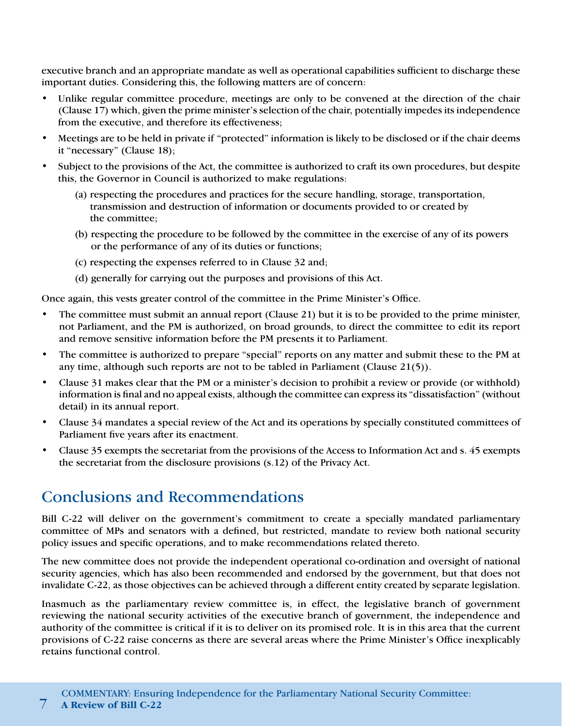executive branch and an appropriate mandate as well as operational capabilities sufficient to discharge these important duties. Considering this, the following matters are of concern:

- Unlike regular committee procedure, meetings are only to be convened at the direction of the chair (Clause 17) which, given the prime minister's selection of the chair, potentially impedes its independence from the executive, and therefore its effectiveness;
- Meetings are to be held in private if "protected" information is likely to be disclosed or if the chair deems it "necessary" (Clause 18);
- Subject to the provisions of the Act, the committee is authorized to craft its own procedures, but despite this, the Governor in Council is authorized to make regulations:
	- (a) respecting the procedures and practices for the secure handling, storage, transportation, transmission and destruction of information or documents provided to or created by the committee;
	- (b) respecting the procedure to be followed by the committee in the exercise of any of its powers or the performance of any of its duties or functions;
	- (c) respecting the expenses referred to in Clause 32 and;
	- (d) generally for carrying out the purposes and provisions of this Act.

Once again, this vests greater control of the committee in the Prime Minister's Office.

- The committee must submit an annual report (Clause 21) but it is to be provided to the prime minister, not Parliament, and the PM is authorized, on broad grounds, to direct the committee to edit its report and remove sensitive information before the PM presents it to Parliament.
- The committee is authorized to prepare "special" reports on any matter and submit these to the PM at any time, although such reports are not to be tabled in Parliament (Clause 21(5)).
- Clause 31 makes clear that the PM or a minister's decision to prohibit a review or provide (or withhold) information is final and no appeal exists, although the committee can express its "dissatisfaction" (without detail) in its annual report.
- Clause 34 mandates a special review of the Act and its operations by specially constituted committees of Parliament five years after its enactment.
- Clause 35 exempts the secretariat from the provisions of the Access to Information Act and s. 45 exempts the secretariat from the disclosure provisions (s.12) of the Privacy Act.

# Conclusions and Recommendations

Bill C-22 will deliver on the government's commitment to create a specially mandated parliamentary committee of MPs and senators with a defined, but restricted, mandate to review both national security policy issues and specific operations, and to make recommendations related thereto.

The new committee does not provide the independent operational co-ordination and oversight of national security agencies, which has also been recommended and endorsed by the government, but that does not invalidate C-22, as those objectives can be achieved through a different entity created by separate legislation.

Inasmuch as the parliamentary review committee is, in effect, the legislative branch of government reviewing the national security activities of the executive branch of government, the independence and authority of the committee is critical if it is to deliver on its promised role. It is in this area that the current provisions of C-22 raise concerns as there are several areas where the Prime Minister's Office inexplicably retains functional control.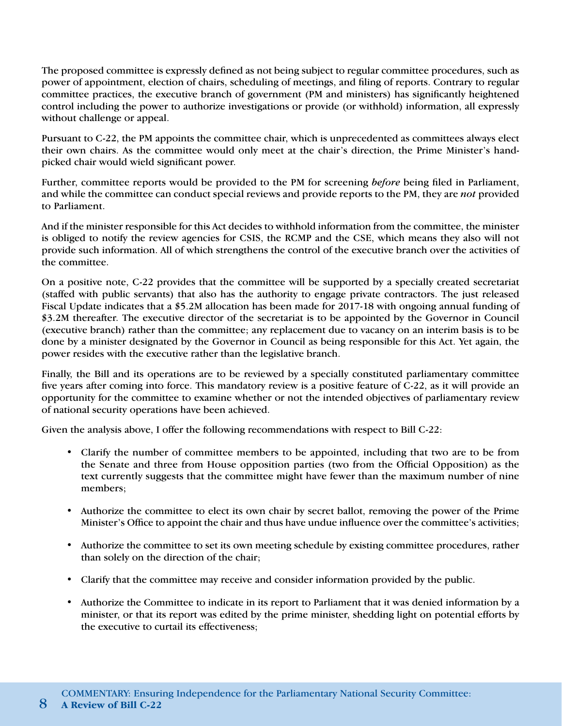The proposed committee is expressly defined as not being subject to regular committee procedures, such as power of appointment, election of chairs, scheduling of meetings, and filing of reports. Contrary to regular committee practices, the executive branch of government (PM and ministers) has significantly heightened control including the power to authorize investigations or provide (or withhold) information, all expressly without challenge or appeal.

Pursuant to C-22, the PM appoints the committee chair, which is unprecedented as committees always elect their own chairs. As the committee would only meet at the chair's direction, the Prime Minister's handpicked chair would wield significant power.

Further, committee reports would be provided to the PM for screening *before* being filed in Parliament, and while the committee can conduct special reviews and provide reports to the PM, they are *not* provided to Parliament.

And if the minister responsible for this Act decides to withhold information from the committee, the minister is obliged to notify the review agencies for CSIS, the RCMP and the CSE, which means they also will not provide such information. All of which strengthens the control of the executive branch over the activities of the committee.

On a positive note, C-22 provides that the committee will be supported by a specially created secretariat (staffed with public servants) that also has the authority to engage private contractors. The just released Fiscal Update indicates that a \$5.2M allocation has been made for 2017-18 with ongoing annual funding of \$3.2M thereafter. The executive director of the secretariat is to be appointed by the Governor in Council (executive branch) rather than the committee; any replacement due to vacancy on an interim basis is to be done by a minister designated by the Governor in Council as being responsible for this Act. Yet again, the power resides with the executive rather than the legislative branch.

Finally, the Bill and its operations are to be reviewed by a specially constituted parliamentary committee five years after coming into force. This mandatory review is a positive feature of C-22, as it will provide an opportunity for the committee to examine whether or not the intended objectives of parliamentary review of national security operations have been achieved.

Given the analysis above, I offer the following recommendations with respect to Bill C-22:

- Clarify the number of committee members to be appointed, including that two are to be from the Senate and three from House opposition parties (two from the Official Opposition) as the text currently suggests that the committee might have fewer than the maximum number of nine members;
- Authorize the committee to elect its own chair by secret ballot, removing the power of the Prime Minister's Office to appoint the chair and thus have undue influence over the committee's activities;
- Authorize the committee to set its own meeting schedule by existing committee procedures, rather than solely on the direction of the chair;
- Clarify that the committee may receive and consider information provided by the public.
- Authorize the Committee to indicate in its report to Parliament that it was denied information by a minister, or that its report was edited by the prime minister, shedding light on potential efforts by the executive to curtail its effectiveness;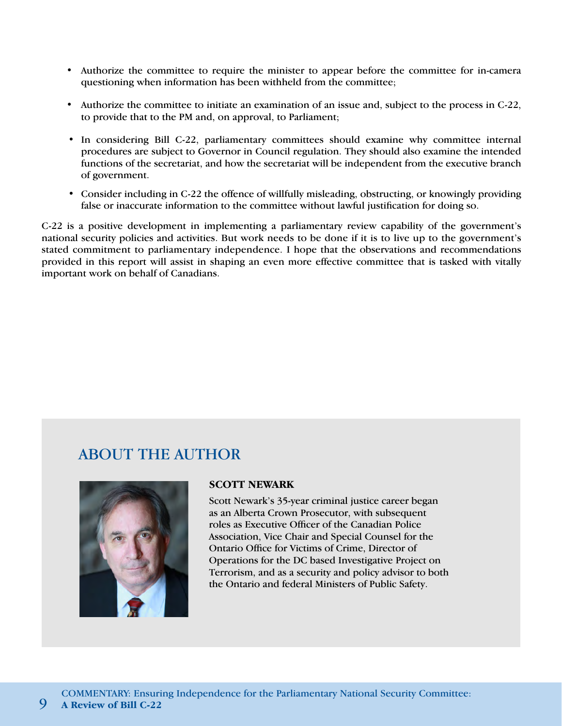- Authorize the committee to require the minister to appear before the committee for in-camera questioning when information has been withheld from the committee;
- Authorize the committee to initiate an examination of an issue and, subject to the process in C-22, to provide that to the PM and, on approval, to Parliament;
- In considering Bill C-22, parliamentary committees should examine why committee internal procedures are subject to Governor in Council regulation. They should also examine the intended functions of the secretariat, and how the secretariat will be independent from the executive branch of government.
- Consider including in C-22 the offence of willfully misleading, obstructing, or knowingly providing false or inaccurate information to the committee without lawful justification for doing so.

C-22 is a positive development in implementing a parliamentary review capability of the government's national security policies and activities. But work needs to be done if it is to live up to the government's stated commitment to parliamentary independence. I hope that the observations and recommendations provided in this report will assist in shaping an even more effective committee that is tasked with vitally important work on behalf of Canadians.

### ABOUT THE AUTHOR



### **SCOTT NEWARK**

Scott Newark's 35-year criminal justice career began as an Alberta Crown Prosecutor, with subsequent roles as Executive Officer of the Canadian Police Association, Vice Chair and Special Counsel for the Ontario Office for Victims of Crime, Director of Operations for the DC based Investigative Project on Terrorism, and as a security and policy advisor to both the Ontario and federal Ministers of Public Safety.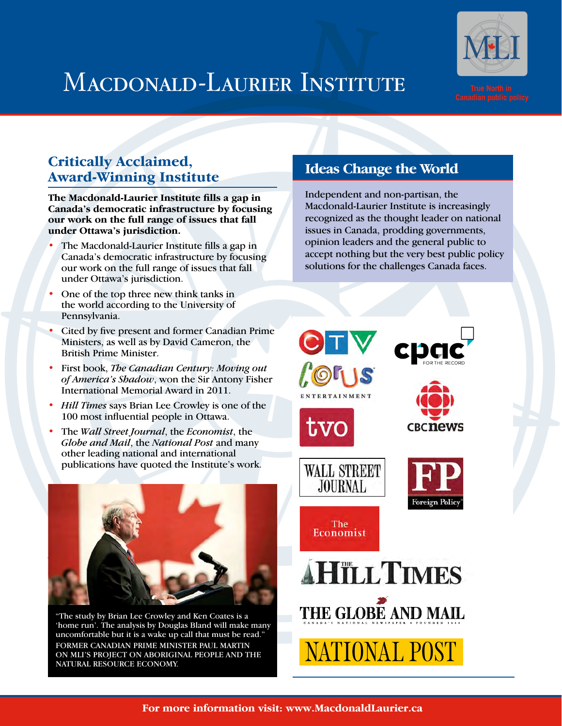# MACDONALD-LAURIER INSTITUTE



### **Critically Acclaimed, Award-Winning Institute**

**The Macdonald-Laurier Institute fills a gap in Canada's democratic infrastructure by focusing our work on the full range of issues that fall under Ottawa's jurisdiction.**

- The Macdonald-Laurier Institute fills a gap in Canada's democratic infrastructure by focusing our work on the full range of issues that fall under Ottawa's jurisdiction.
- One of the top three new think tanks in the world according to the University of Pennsylvania.
- Cited by five present and former Canadian Prime Ministers, as well as by David Cameron, the British Prime Minister.
- First book, *The Canadian Century: Moving out of America's Shadow*, won the Sir Antony Fisher International Memorial Award in 2011.
- *Hill Times* says Brian Lee Crowley is one of the 100 most influential people in Ottawa.
- The *Wall Street Journal*, the *Economist*, the *Globe and Mail*, the *National Post* and many other leading national and international publications have quoted the Institute's work.



"The study by Brian Lee Crowley and Ken Coates is a 'home run'. The analysis by Douglas Bland will make many uncomfortable but it is a wake up call that must be read." FORMER CANADIAN PRIME MINISTER PAUL MARTIN ON MLI'S PROJECT ON ABORIGINAL PEOPLE AND THE NATURAL RESOURCE ECONOMY.

### **Ideas Change the World**

Independent and non-partisan, the Macdonald-Laurier Institute is increasingly recognized as the thought leader on national issues in Canada, prodding governments, opinion leaders and the general public to accept nothing but the very best public policy solutions for the challenges Canada faces.

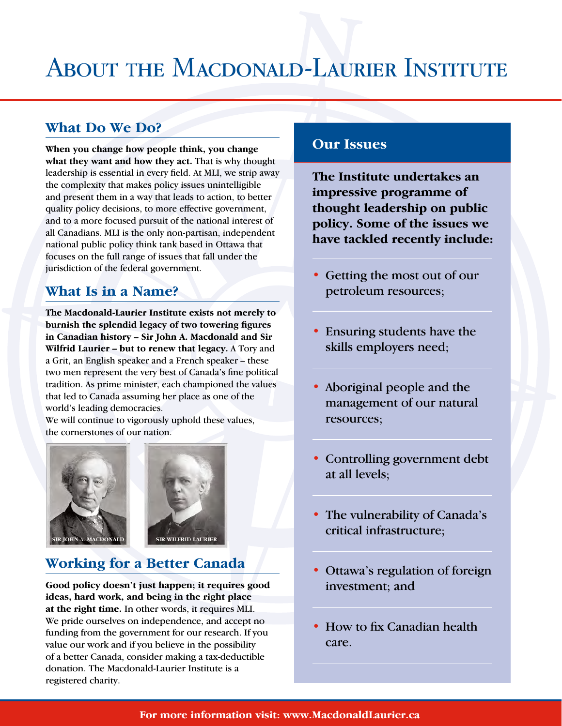# ABOUT THE MACDONALD-LAURIER INSTITUTE

### **What Do We Do?**

**When you change how people think, you change what they want and how they act.** That is why thought leadership is essential in every field. At MLI, we strip away the complexity that makes policy issues unintelligible and present them in a way that leads to action, to better quality policy decisions, to more effective government, and to a more focused pursuit of the national interest of all Canadians. MLI is the only non-partisan, independent national public policy think tank based in Ottawa that focuses on the full range of issues that fall under the jurisdiction of the federal government.

### **What Is in a Name?**

**The Macdonald-Laurier Institute exists not merely to burnish the splendid legacy of two towering figures in Canadian history – Sir John A. Macdonald and Sir Wilfrid Laurier – but to renew that legacy.** A Tory and a Grit, an English speaker and a French speaker – these two men represent the very best of Canada's fine political tradition. As prime minister, each championed the values that led to Canada assuming her place as one of the world's leading democracies.

We will continue to vigorously uphold these values, the cornerstones of our nation.





### **Working for a Better Canada**

**Good policy doesn't just happen; it requires good ideas, hard work, and being in the right place at the right time.** In other words, it requires MLI. We pride ourselves on independence, and accept no funding from the government for our research. If you value our work and if you believe in the possibility of a better Canada, consider making a tax-deductible donation. The Macdonald-Laurier Institute is a registered charity.

### **Our Issues**

**The Institute undertakes an impressive programme of thought leadership on public policy. Some of the issues we have tackled recently include:**

- Getting the most out of our petroleum resources;
- Ensuring students have the skills employers need;
- Aboriginal people and the management of our natural resources;
- Controlling government debt at all levels;
- The vulnerability of Canada's critical infrastructure;
- Ottawa's regulation of foreign investment; and
- How to fix Canadian health care.